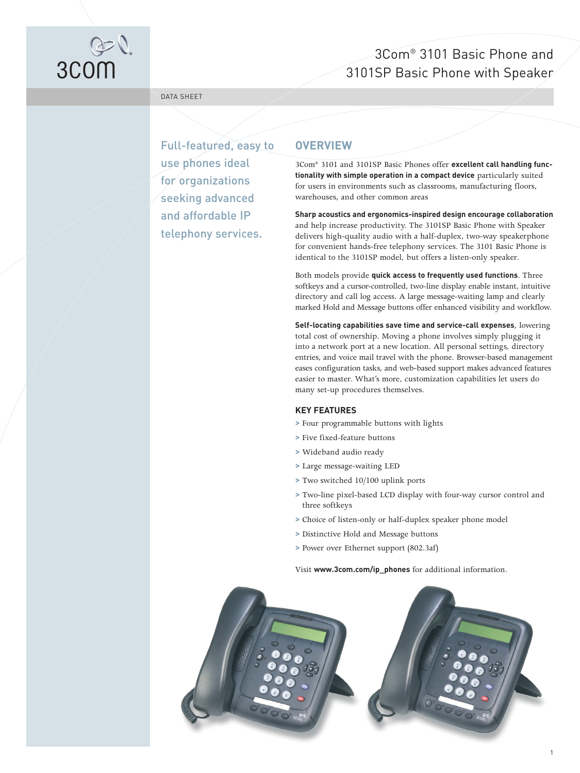

# 3Com® 3101 Basic Phone and 3101SP Basic Phone with Speaker

DATA SHEET

Full-featured, easy to use phones ideal for organizations seeking advanced and affordable IP telephony services.

## **OVERVIEW**

3Com® 3101 and 3101SP Basic Phones offer **excellent call handling functionality with simple operation in a compact device** particularly suited for users in environments such as classrooms, manufacturing floors, warehouses, and other common areas

**Sharp acoustics and ergonomics-inspired design encourage collaboration** and help increase productivity. The 3101SP Basic Phone with Speaker delivers high-quality audio with a half-duplex, two-way speakerphone for convenient hands-free telephony services. The 3101 Basic Phone is identical to the 3101SP model, but offers a listen-only speaker.

Both models provide **quick access to frequently used functions**. Three softkeys and a cursor-controlled, two-line display enable instant, intuitive directory and call log access. A large message-waiting lamp and clearly marked Hold and Message buttons offer enhanced visibility and workflow.

**Self-locating capabilities save time and service-call expenses**, lowering total cost of ownership. Moving a phone involves simply plugging it into a network port at a new location. All personal settings, directory entries, and voice mail travel with the phone. Browser-based management eases configuration tasks, and web-based support makes advanced features easier to master. What's more, customization capabilities let users do many set-up procedures themselves.

#### **KEY FEATURES**

- **>** Four programmable buttons with lights
- **>** Five fixed-feature buttons
- **>** Wideband audio ready
- **>** Large message-waiting LED
- **>** Two switched 10/100 uplink ports
- **>** Two-line pixel-based LCD display with four-way cursor control and three softkeys

1

- **>** Choice of listen-only or half-duplex speaker phone model
- **>** Distinctive Hold and Message buttons
- **>** Power over Ethernet support (802.3af)

Visit **www.3com.com/ip\_phones** for additional information.